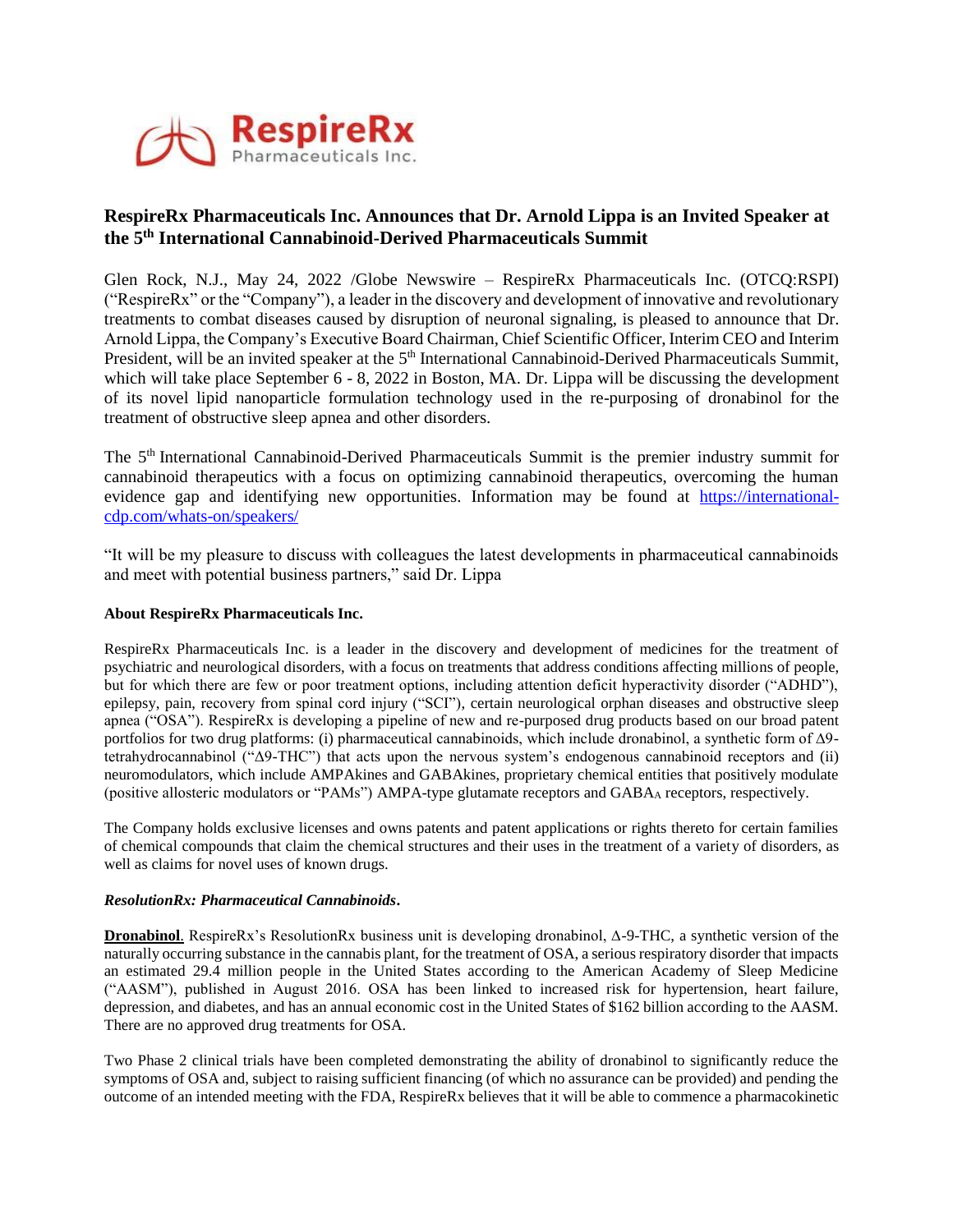

# **RespireRx Pharmaceuticals Inc. Announces that Dr. Arnold Lippa is an Invited Speaker at the 5 th International Cannabinoid-Derived Pharmaceuticals Summit**

Glen Rock, N.J., May 24, 2022 /Globe Newswire – RespireRx Pharmaceuticals Inc. (OTCQ:RSPI) ("RespireRx" or the "Company"), a leader in the discovery and development of innovative and revolutionary treatments to combat diseases caused by disruption of neuronal signaling, is pleased to announce that Dr. Arnold Lippa, the Company's Executive Board Chairman, Chief Scientific Officer, Interim CEO and Interim President, will be an invited speaker at the 5<sup>th</sup> International Cannabinoid-Derived Pharmaceuticals Summit, which will take place September 6 - 8, 2022 in Boston, MA. Dr. Lippa will be discussing the development of its novel lipid nanoparticle formulation technology used in the re-purposing of dronabinol for the treatment of obstructive sleep apnea and other disorders.

The 5<sup>th</sup> International Cannabinoid-Derived Pharmaceuticals Summit is the premier industry summit for cannabinoid therapeutics with a focus on optimizing cannabinoid therapeutics, overcoming the human evidence gap and identifying new opportunities. Information may be found at [https://international](https://international-cdp.com/whats-on/speakers/)[cdp.com/whats-on/speakers/](https://international-cdp.com/whats-on/speakers/)

"It will be my pleasure to discuss with colleagues the latest developments in pharmaceutical cannabinoids and meet with potential business partners," said Dr. Lippa

## **About RespireRx Pharmaceuticals Inc.**

RespireRx Pharmaceuticals Inc. is a leader in the discovery and development of medicines for the treatment of psychiatric and neurological disorders, with a focus on treatments that address conditions affecting millions of people, but for which there are few or poor treatment options, including attention deficit hyperactivity disorder ("ADHD"), epilepsy, pain, recovery from spinal cord injury ("SCI"), certain neurological orphan diseases and obstructive sleep apnea ("OSA"). RespireRx is developing a pipeline of new and re-purposed drug products based on our broad patent portfolios for two drug platforms: (i) pharmaceutical cannabinoids, which include dronabinol, a synthetic form of ∆9 tetrahydrocannabinol ("Δ9-THC") that acts upon the nervous system's endogenous cannabinoid receptors and (ii) neuromodulators, which include AMPAkines and GABAkines, proprietary chemical entities that positively modulate (positive allosteric modulators or "PAMs") AMPA-type glutamate receptors and GABA<sup>A</sup> receptors, respectively.

The Company holds exclusive licenses and owns patents and patent applications or rights thereto for certain families of chemical compounds that claim the chemical structures and their uses in the treatment of a variety of disorders, as well as claims for novel uses of known drugs.

#### *ResolutionRx: Pharmaceutical Cannabinoids***.**

**Dronabinol**. RespireRx's ResolutionRx business unit is developing dronabinol, ∆-9-THC, a synthetic version of the naturally occurring substance in the cannabis plant, for the treatment of OSA, a serious respiratory disorder that impacts an estimated 29.4 million people in the United States according to the American Academy of Sleep Medicine ("AASM"), published in August 2016. OSA has been linked to increased risk for hypertension, heart failure, depression, and diabetes, and has an annual economic cost in the United States of \$162 billion according to the AASM. There are no approved drug treatments for OSA.

Two Phase 2 clinical trials have been completed demonstrating the ability of dronabinol to significantly reduce the symptoms of OSA and, subject to raising sufficient financing (of which no assurance can be provided) and pending the outcome of an intended meeting with the FDA, RespireRx believes that it will be able to commence a pharmacokinetic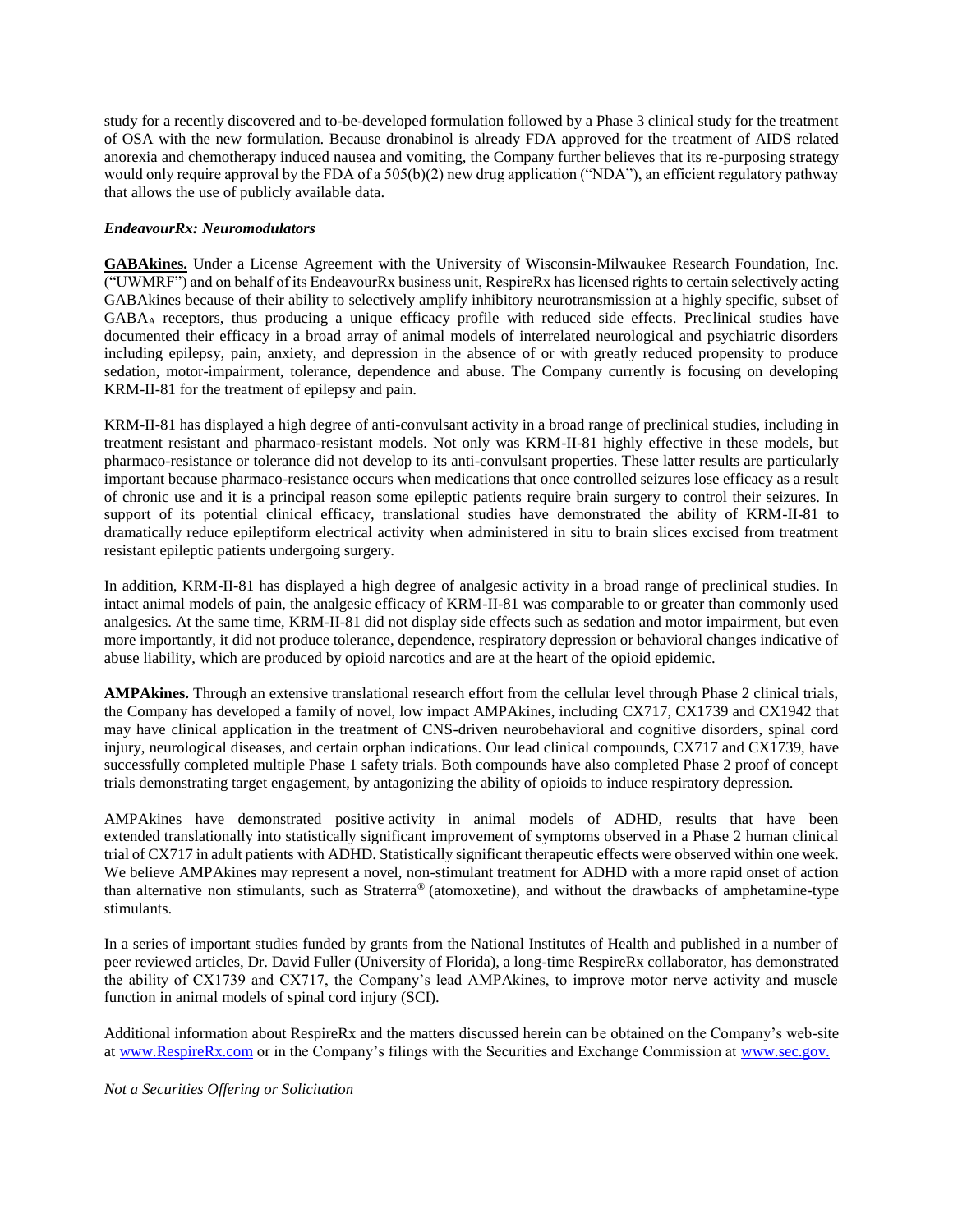study for a recently discovered and to-be-developed formulation followed by a Phase 3 clinical study for the treatment of OSA with the new formulation. Because dronabinol is already FDA approved for the treatment of AIDS related anorexia and chemotherapy induced nausea and vomiting, the Company further believes that its re-purposing strategy would only require approval by the FDA of a 505(b)(2) new drug application ("NDA"), an efficient regulatory pathway that allows the use of publicly available data.

## *EndeavourRx: Neuromodulators*

**GABAkines.** Under a License Agreement with the University of Wisconsin-Milwaukee Research Foundation, Inc.  $\overline{(\text{``UWMRF''})}$  and on behalf of its EndeavourRx business unit, RespireRx has licensed rights to certain selectively acting GABAkines because of their ability to selectively amplify inhibitory neurotransmission at a highly specific, subset of GABA<sup>A</sup> receptors, thus producing a unique efficacy profile with reduced side effects. Preclinical studies have documented their efficacy in a broad array of animal models of interrelated neurological and psychiatric disorders including epilepsy, pain, anxiety, and depression in the absence of or with greatly reduced propensity to produce sedation, motor-impairment, tolerance, dependence and abuse. The Company currently is focusing on developing KRM-II-81 for the treatment of epilepsy and pain.

KRM-II-81 has displayed a high degree of anti-convulsant activity in a broad range of preclinical studies, including in treatment resistant and pharmaco-resistant models. Not only was KRM-II-81 highly effective in these models, but pharmaco-resistance or tolerance did not develop to its anti-convulsant properties. These latter results are particularly important because pharmaco-resistance occurs when medications that once controlled seizures lose efficacy as a result of chronic use and it is a principal reason some epileptic patients require brain surgery to control their seizures. In support of its potential clinical efficacy, translational studies have demonstrated the ability of KRM-II-81 to dramatically reduce epileptiform electrical activity when administered in situ to brain slices excised from treatment resistant epileptic patients undergoing surgery.

In addition, KRM-II-81 has displayed a high degree of analgesic activity in a broad range of preclinical studies. In intact animal models of pain, the analgesic efficacy of KRM-II-81 was comparable to or greater than commonly used analgesics. At the same time, KRM-II-81 did not display side effects such as sedation and motor impairment, but even more importantly, it did not produce tolerance, dependence, respiratory depression or behavioral changes indicative of abuse liability, which are produced by opioid narcotics and are at the heart of the opioid epidemic.

**AMPAkines.** Through an extensive translational research effort from the cellular level through Phase 2 clinical trials, the Company has developed a family of novel, low impact AMPAkines, including CX717, CX1739 and CX1942 that may have clinical application in the treatment of CNS-driven neurobehavioral and cognitive disorders, spinal cord injury, neurological diseases, and certain orphan indications. Our lead clinical compounds, CX717 and CX1739, have successfully completed multiple Phase 1 safety trials. Both compounds have also completed Phase 2 proof of concept trials demonstrating target engagement, by antagonizing the ability of opioids to induce respiratory depression.

AMPAkines have demonstrated positive activity in animal models of ADHD, results that have been extended translationally into statistically significant improvement of symptoms observed in a Phase 2 human clinical trial of CX717 in adult patients with ADHD. Statistically significant therapeutic effects were observed within one week. We believe AMPAkines may represent a novel, non-stimulant treatment for ADHD with a more rapid onset of action than alternative non stimulants, such as Straterra® (atomoxetine), and without the drawbacks of amphetamine-type stimulants.

In a series of important studies funded by grants from the National Institutes of Health and published in a number of peer reviewed articles, Dr. David Fuller (University of Florida), a long-time RespireRx collaborator, has demonstrated the ability of CX1739 and CX717, the Company's lead AMPAkines, to improve motor nerve activity and muscle function in animal models of spinal cord injury (SCI).

Additional information about RespireRx and the matters discussed herein can be obtained on the Company's web-site a[t www.RespireRx.com](http://www.respirerx.com/) or in the Company's filings with the Securities and Exchange Commission at [www.sec.gov.](http://www.sec.gov./)

### *Not a Securities Offering or Solicitation*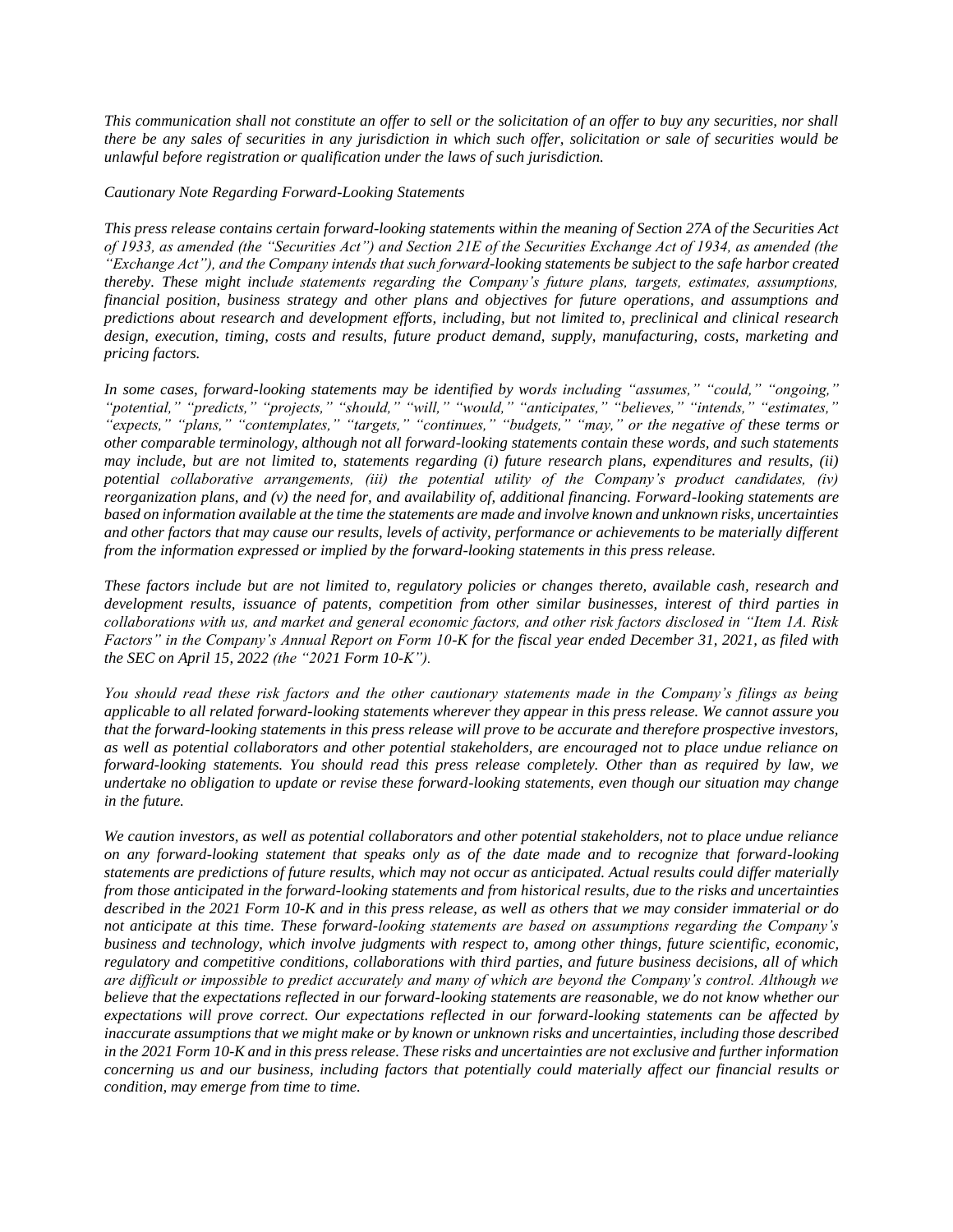*This communication shall not constitute an offer to sell or the solicitation of an offer to buy any securities, nor shall there be any sales of securities in any jurisdiction in which such offer, solicitation or sale of securities would be unlawful before registration or qualification under the laws of such jurisdiction.*

#### *Cautionary Note Regarding Forward-Looking Statements*

*This press release contains certain forward-looking statements within the meaning of Section 27A of the Securities Act of 1933, as amended (the "Securities Act") and Section 21E of the Securities Exchange Act of 1934, as amended (the "Exchange Act"), and the Company intends that such forward-looking statements be subject to the safe harbor created thereby. These might include statements regarding the Company's future plans, targets, estimates, assumptions, financial position, business strategy and other plans and objectives for future operations, and assumptions and predictions about research and development efforts, including, but not limited to, preclinical and clinical research design, execution, timing, costs and results, future product demand, supply, manufacturing, costs, marketing and pricing factors.*

*In some cases, forward-looking statements may be identified by words including "assumes," "could," "ongoing," "potential," "predicts," "projects," "should," "will," "would," "anticipates," "believes," "intends," "estimates," "expects," "plans," "contemplates," "targets," "continues," "budgets," "may," or the negative of these terms or other comparable terminology, although not all forward-looking statements contain these words, and such statements may include, but are not limited to, statements regarding (i) future research plans, expenditures and results, (ii) potential collaborative arrangements, (iii) the potential utility of the Company's product candidates, (iv) reorganization plans, and (v) the need for, and availability of, additional financing. Forward-looking statements are based on information available at the time the statements are made and involve known and unknown risks, uncertainties and other factors that may cause our results, levels of activity, performance or achievements to be materially different from the information expressed or implied by the forward-looking statements in this press release.*

*These factors include but are not limited to, regulatory policies or changes thereto, available cash, research and development results, issuance of patents, competition from other similar businesses, interest of third parties in collaborations with us, and market and general economic factors, and other risk factors disclosed in "Item 1A. Risk Factors" in the Company's Annual Report on Form 10-K for the fiscal year ended December 31, 2021, as filed with the SEC on April 15, 2022 (the "2021 Form 10-K").*

*You should read these risk factors and the other cautionary statements made in the Company's filings as being applicable to all related forward-looking statements wherever they appear in this press release. We cannot assure you that the forward-looking statements in this press release will prove to be accurate and therefore prospective investors, as well as potential collaborators and other potential stakeholders, are encouraged not to place undue reliance on forward-looking statements. You should read this press release completely. Other than as required by law, we undertake no obligation to update or revise these forward-looking statements, even though our situation may change in the future.*

*We caution investors, as well as potential collaborators and other potential stakeholders, not to place undue reliance on any forward-looking statement that speaks only as of the date made and to recognize that forward-looking statements are predictions of future results, which may not occur as anticipated. Actual results could differ materially from those anticipated in the forward-looking statements and from historical results, due to the risks and uncertainties described in the 2021 Form 10-K and in this press release, as well as others that we may consider immaterial or do not anticipate at this time. These forward-looking statements are based on assumptions regarding the Company's business and technology, which involve judgments with respect to, among other things, future scientific, economic, regulatory and competitive conditions, collaborations with third parties, and future business decisions, all of which are difficult or impossible to predict accurately and many of which are beyond the Company's control. Although we believe that the expectations reflected in our forward-looking statements are reasonable, we do not know whether our expectations will prove correct. Our expectations reflected in our forward-looking statements can be affected by inaccurate assumptions that we might make or by known or unknown risks and uncertainties, including those described in the 2021 Form 10-K and in this press release. These risks and uncertainties are not exclusive and further information concerning us and our business, including factors that potentially could materially affect our financial results or condition, may emerge from time to time.*